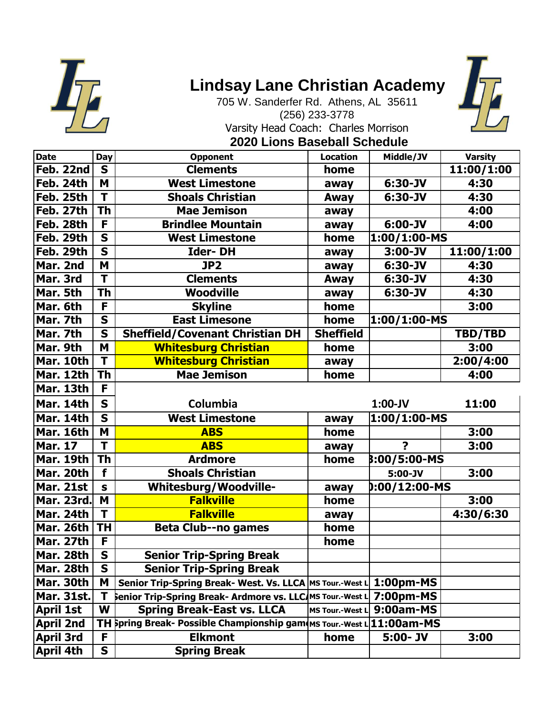

## **Lindsay Lane Christian Academy**



705 W. Sanderfer Rd. Athens, AL 35611 (256) 233-3778 Varsity Head Coach: Charles Morrison

## **2020 Lions Baseball Schedule**

| <b>Date</b>       | Day                     | Opponent                                                   | <b>Location</b>        | Middle/JV               | <b>Varsity</b> |
|-------------------|-------------------------|------------------------------------------------------------|------------------------|-------------------------|----------------|
| Feb. 22nd         | $\mathbf S$             | <b>Clements</b>                                            | home                   |                         | 11:00/1:00     |
| Feb. 24th         | M                       | <b>West Limestone</b>                                      | away                   | 6:30-JV                 | 4:30           |
| Feb. 25th         | $\overline{\mathsf{T}}$ | <b>Shoals Christian</b>                                    | Away                   | $6:30 - JV$             | 4:30           |
| Feb. 27th         | <b>Th</b>               | <b>Mae Jemison</b>                                         | away                   |                         | 4:00           |
| Feb. 28th         | F                       | <b>Brindlee Mountain</b>                                   | away                   | $6:00 - JV$             | 4:00           |
| Feb. 29th         | $\mathbf S$             | <b>West Limestone</b>                                      | home                   | 1:00/1:00-MS            |                |
| Feb. 29th         | $\overline{\mathbf{s}}$ | <b>Ider-DH</b>                                             | away                   | $3:00 - JV$             | 11:00/1:00     |
| Mar. 2nd          | M                       | JP2                                                        | away                   | $6:30 - JV$             | 4:30           |
| Mar. 3rd          | $\overline{\mathsf{T}}$ | <b>Clements</b>                                            | Away                   | $6:30 - JV$             | 4:30           |
| Mar. 5th          | <b>Th</b>               | <b>Woodville</b>                                           | away                   | 6:30-JV                 | 4:30           |
| Mar. 6th          | F                       | <b>Skyline</b>                                             | home                   |                         | 3:00           |
| Mar. 7th          | $\mathbf S$             | <b>East Limesone</b>                                       | home                   | 1:00/1:00-MS            |                |
| Mar. 7th          | $\overline{\mathbf{s}}$ | <b>Sheffield/Covenant Christian DH</b>                     | <b>Sheffield</b>       |                         | TBD/TBD        |
| Mar. 9th          | M                       | <b>Whitesburg Christian</b>                                | home                   |                         | 3:00           |
| Mar. 10th         | $\overline{\mathsf{T}}$ | <b>Whitesburg Christian</b>                                | away                   |                         | 2:00/4:00      |
| Mar. 12th         | <b>Th</b>               | <b>Mae Jemison</b>                                         | home                   |                         | 4:00           |
| Mar. 13th         | F                       |                                                            |                        |                         |                |
| Mar. 14th         | $\mathbf S$             | Columbia                                                   |                        | $1:00-JV$               | 11:00          |
| Mar. 14th         | $\mathbf S$             | <b>West Limestone</b>                                      | away                   | 1:00/1:00-MS            |                |
| Mar. 16th         | M                       | <b>ABS</b>                                                 | home                   |                         | 3:00           |
| <b>Mar. 17</b>    | T                       | <b>ABS</b>                                                 | away                   | $\overline{\mathbf{r}}$ | 3:00           |
| Mar. 19th         | <b>Th</b>               | <b>Ardmore</b>                                             | home                   | 8:00/5:00-MS            |                |
| Mar. 20th         | f                       | <b>Shoals Christian</b>                                    |                        | $5:00 - JV$             | 3:00           |
| <b>Mar. 21st</b>  | $\mathbf{s}$            | <b>Whitesburg/Woodville-</b>                               | away                   | 0:00/12:00-MS           |                |
| <b>Mar. 23rd.</b> | M                       | <b>Falkville</b>                                           | home                   |                         | 3:00           |
| Mar. 24th         | T                       | <b>Falkville</b>                                           | away                   |                         | 4:30/6:30      |
| <b>Mar. 26th</b>  | <b>TH</b>               | <b>Beta Club--no games</b>                                 | home                   |                         |                |
| <b>Mar. 27th</b>  | F                       |                                                            | home                   |                         |                |
| Mar. 28th         | $\overline{\mathsf{s}}$ | <b>Senior Trip-Spring Break</b>                            |                        |                         |                |
| Mar. 28th         | $\mathbf{s}$            | <b>Senior Trip-Spring Break</b>                            |                        |                         |                |
| Mar. 30th         | M                       | Senior Trip-Spring Break- West. Vs. LLCA MS Tour.-West L   |                        | 1:00pm-MS               |                |
| Mar. 31st.        | Т                       | Senior Trip-Spring Break- Ardmore vs. LLC/MS Tour.-West I  |                        | 7:00pm-MS               |                |
| <b>April 1st</b>  | W                       | <b>Spring Break-East vs. LLCA</b>                          | <b>MS Tour.-West I</b> | 9:00am-MS               |                |
| <b>April 2nd</b>  |                         | TH Spring Break- Possible Championship gam MS Tour.-West I |                        | 11:00am-MS              |                |
| April 3rd         | F                       | <b>Elkmont</b>                                             | home                   | $5:00 - JV$             | 3:00           |
| <b>April 4th</b>  | S                       | <b>Spring Break</b>                                        |                        |                         |                |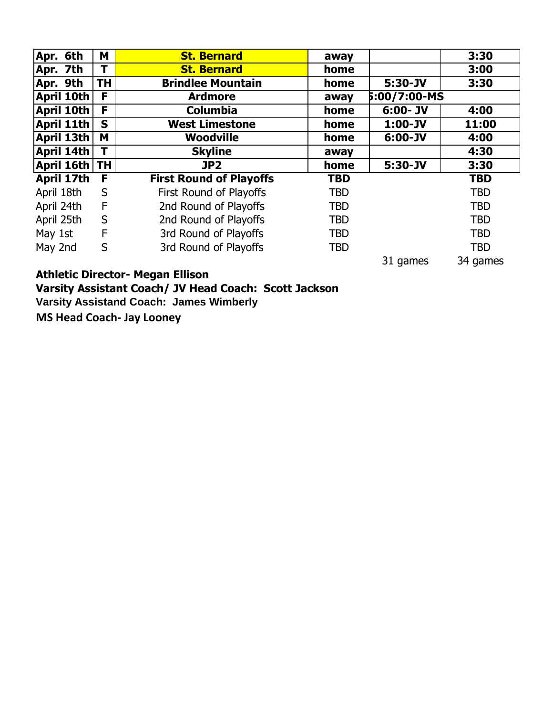| Apr. 6th      | M           | <b>St. Bernard</b>             | away       |              | 3:30       |
|---------------|-------------|--------------------------------|------------|--------------|------------|
| Apr. 7th      | Т           | <b>St. Bernard</b>             | home       |              | 3:00       |
| Apr. 9th      | <b>TH</b>   | <b>Brindlee Mountain</b>       | home       | $5:30 - JV$  | 3:30       |
| April 10th    | F           | <b>Ardmore</b>                 | away       | 5:00/7:00-MS |            |
| April 10th    | F           | <b>Columbia</b>                | home       | $6:00 - JV$  | 4:00       |
| April 11th    | $\mathbf S$ | <b>West Limestone</b>          | home       | $1:00-JV$    | 11:00      |
| April 13th    | M           | <b>Woodville</b>               | home       | $6:00 - JV$  | 4:00       |
| April 14th    | T           | <b>Skyline</b>                 | away       |              | 4:30       |
| April 16th TH |             | JP2                            | home       | $5:30 - JV$  | 3:30       |
| April 17th    | F           | <b>First Round of Playoffs</b> | <b>TBD</b> |              | <b>TBD</b> |
| April 18th    | S           | First Round of Playoffs        | <b>TBD</b> |              | <b>TBD</b> |
| April 24th    | F           | 2nd Round of Playoffs          | <b>TBD</b> |              | <b>TBD</b> |
| April 25th    | S           | 2nd Round of Playoffs          | <b>TBD</b> |              | <b>TBD</b> |
| May 1st       | F           | 3rd Round of Playoffs          | <b>TBD</b> |              | <b>TBD</b> |
| May 2nd       | S           | 3rd Round of Playoffs          | <b>TBD</b> |              | <b>TBD</b> |
|               |             |                                |            | 31 games     | 34 games   |

**Athletic Director- Megan Ellison Varsity Assistant Coach/ JV Head Coach: Scott Jackson Varsity Assistand Coach: James Wimberly MS Head Coach- Jay Looney**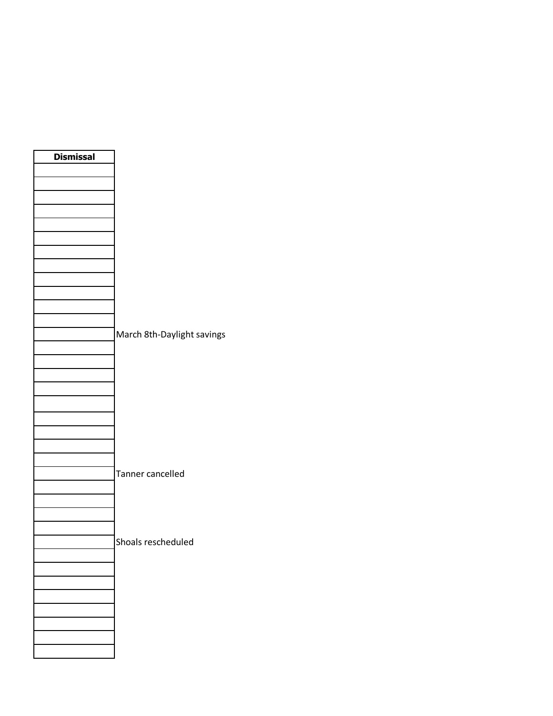| <b>Dismissal</b> |                            |
|------------------|----------------------------|
|                  |                            |
|                  |                            |
|                  |                            |
|                  |                            |
|                  |                            |
|                  |                            |
|                  |                            |
|                  |                            |
|                  |                            |
|                  |                            |
|                  |                            |
|                  |                            |
|                  |                            |
|                  |                            |
|                  | March 8th-Daylight savings |
|                  |                            |
|                  |                            |
|                  |                            |
|                  |                            |
|                  |                            |
|                  |                            |
|                  |                            |
|                  |                            |
|                  |                            |
|                  | Tanner cancelled           |
|                  |                            |
|                  |                            |
|                  |                            |
|                  |                            |
|                  |                            |
|                  | Shoals rescheduled         |
|                  |                            |
|                  |                            |
|                  |                            |
|                  |                            |
|                  |                            |
|                  |                            |
|                  |                            |
|                  |                            |